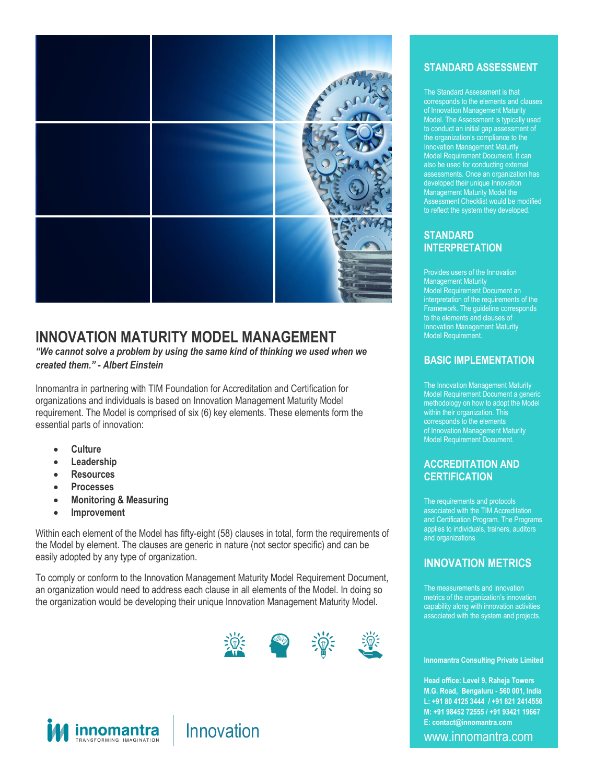

# **INNOVATION MATURITY MODEL MANAGEMENT**

*"We cannot solve a problem by using the same kind of thinking we used when we created them." - Albert Einstein*

Innomantra in partnering with TIM Foundation for Accreditation and Certification for organizations and individuals is based on Innovation Management Maturity Model requirement. The Model is comprised of six (6) key elements. These elements form the essential parts of innovation:

- **Culture**
- **Leadership**
- **Resources**
- **Processes**
- **Monitoring & Measuring**
- **Improvement**

Within each element of the Model has fifty-eight (58) clauses in total, form the requirements of the Model by element. The clauses are generic in nature (not sector specific) and can be easily adopted by any type of organization.

To comply or conform to the Innovation Management Maturity Model Requirement Document, an organization would need to address each clause in all elements of the Model. In doing so the organization would be developing their unique Innovation Management Maturity Model.





#### **STANDARD ASSESSMENT**

The Standard Assessment is that corresponds to the elements and clauses of Innovation Management Maturity Model. The Assessment is typically used to conduct an initial gap assessment of the organization's compliance to the Innovation Management Maturity Model Requirement Document. It can also be used for conducting external assessments. Once an organization has developed their unique Innovation Management Maturity Model the Assessment Checklist would be modified to reflect the system they developed.

#### **STANDARD INTERPRETATION**

Provides users of the Innovation Management Maturity Model Requirement Document an interpretation of the requirements of the Framework. The guideline corresponds to the elements and clauses of Innovation Management Maturity Model Requirement.

#### **BASIC IMPLEMENTATION**

The Innovation Management Maturity Model Requirement Document a generic methodology on how to adopt the Model within their organization. This corresponds to the elements of Innovation Management Maturity Model Requirement Document.

#### **ACCREDITATION AND CERTIFICATION**

The requirements and protocols associated with the TIM Accreditation and Certification Program. The Programs applies to individuals, trainers, auditors and organizations

### **INNOVATION METRICS**

The measurements and innovation metrics of the organization's innovation capability along with innovation activities associated with the system and projects.

#### **Innomantra Consulting Private Limited**

E: contact@innomantra.com **Head office: Level 9, Raheja Towers M.G. Road, Bengaluru - 560 001, India L: +91 80 4125 3444 / +91 821 2414556 M: +91 98452 72555 / +91 93421 19667**

Level 9, Raheja Towers | M.G. Road,